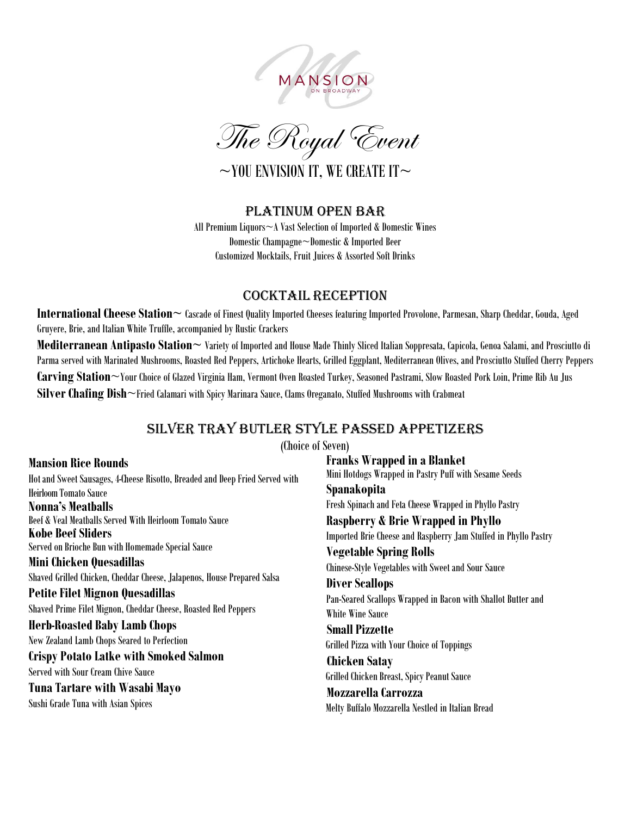



### Platinum Open Bar

All Premium Liquors~A Vast Selection of Imported & Domestic Wines Domestic Champagne~Domestic & Imported Beer Customized Mocktails, Fruit Juices & Assorted Soft Drinks

### Cocktail Reception

**International Cheese Station~** Cascade of Finest Quality Imported Cheeses featuring Imported Provolone, Parmesan, Sharp Cheddar, Gouda, Aged Gruyere, Brie, and Italian White Truffle, accompanied by Rustic Crackers

**Mediterranean Antipasto Station~** Variety of Imported and House Made Thinly Sliced Italian Soppresata, Capicola, Genoa Salami, and Prosciutto di Parma served with Marinated Mushrooms, Roasted Red Peppers, Artichoke Hearts, Grilled Eggplant, Mediterranean Olives, and Prosciutto Stuffed Cherry Peppers **Carving Station**~Your Choice of Glazed Virginia Ham, Vermont Oven Roasted Turkey, Seasoned Pastrami, Slow Roasted Pork Loin, Prime Rib Au Jus **Silver Chafing Dish**~Fried Calamari with Spicy Marinara Sauce, Clams Oreganato, Stuffed Mushrooms with Crabmeat

# Silver Tray Butler Style Passed appetizers

(Choice of Seven)

**Mansion Rice Rounds** Hot and Sweet Sausages, 4-Cheese Risotto, Breaded and Deep Fried Served with Heirloom Tomato Sauce **Nonna's Meatballs** Beef & Veal Meatballs Served With Heirloom Tomato Sauce **Kobe BeefSliders** Served on Brioche Bun with Homemade Special Sauce **Mini Chicken Quesadillas** Shaved Grilled Chicken, Cheddar Cheese, Jalapenos, House Prepared Salsa **Petite Filet Mignon Quesadillas** Shaved Prime Filet Mignon, Cheddar Cheese, Roasted Red Peppers **Herb-Roasted Baby Lamb Chops** New Zealand Lamb Chops Seared to Perfection **Crispy Potato Latke with Smoked Salmon** Served with Sour Cream Chive Sauce **Tuna Tartare with Wasabi Mayo** Sushi Grade Tuna with Asian Spices

**Franks Wrapped in a Blanket** Mini Hotdogs Wrapped in Pastry Puff with Sesame Seeds **Spanakopita** Fresh Spinach and Feta Cheese Wrapped in Phyllo Pastry **Raspberry & Brie Wrapped in Phyllo** Imported Brie Cheese and Raspberry Jam Stuffed in Phyllo Pastry **Vegetable Spring Rolls** Chinese-Style Vegetables with Sweet and Sour Sauce **Diver Scallops** Pan-Seared Scallops Wrapped in Bacon with Shallot Butter and White Wine Sauce  **Small Pizzette** Grilled Pizza with Your Choice of Toppings  **Chicken Satay** Grilled Chicken Breast, Spicy Peanut Sauce  **Mozzarella Carrozza** Melty Buffalo Mozzarella Nestled in Italian Bread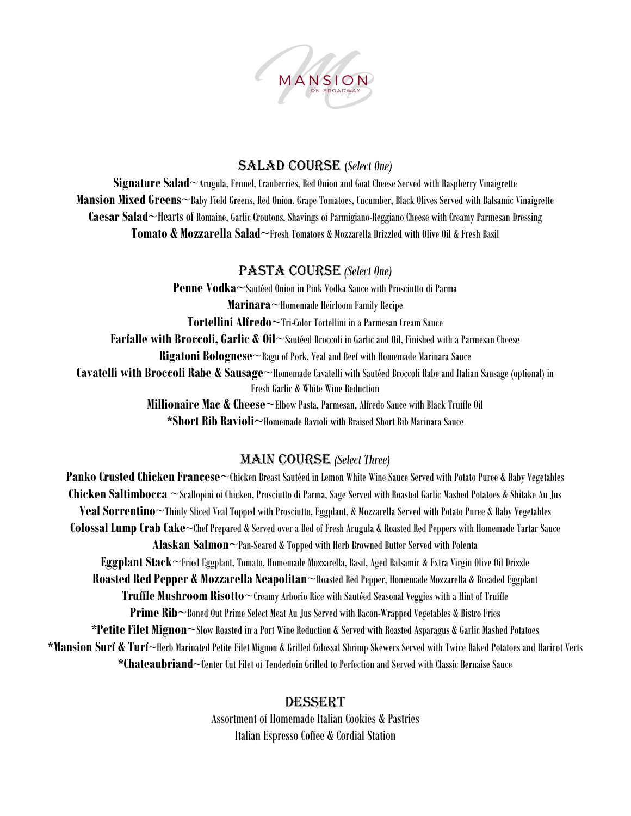

### Salad Course (*Select One)*

**Signature Salad**~Arugula, Fennel, Cranberries, Red Onion and Goat Cheese Served with Raspberry Vinaigrette **Mansion Mixed Greens**~Baby Field Greens, Red Onion, Grape Tomatoes, Cucumber, Black Olives Served with Balsamic Vinaigrette **Caesar Salad**~Hearts of Romaine, Garlic Croutons, Shavings of Parmigiano-Reggiano Cheese with Creamy Parmesan Dressing **Tomato & Mozzarella Salad**~Fresh Tomatoes & Mozzarella Drizzled with Olive Oil & Fresh Basil

#### Pasta Course *(Select One)*

**Penne Vodka~**Sautéed Onion in Pink Vodka Sauce with Prosciutto di Parma **Marinara**~Homemade Heirloom Family Recipe **Tortellini Alfredo**~Tri-Color Tortellini in a Parmesan Cream Sauce **Farfalle with Broccoli, Garlic & Oil**~Sautéed Broccoli in Garlic and Oil, Finished with a Parmesan Cheese **Rigatoni Bolognese**~Ragu of Pork, Veal and Beef with Homemade Marinara Sauce **Cavatelli with Broccoli Rabe & Sausage**~Homemade Cavatelli with Sautéed Broccoli Rabe and Italian Sausage (optional) in Fresh Garlic & White Wine Reduction **Millionaire Mac & Cheese**~Elbow Pasta, Parmesan, Alfredo Sauce with Black Truffle Oil **\*Short Rib Ravioli**~Homemade Ravioli with Braised Short Rib Marinara Sauce

### Main Course *(Select Three)*

**Panko Crusted Chicken Francese**~Chicken Breast Sautéed in Lemon White Wine Sauce Served with Potato Puree & Baby Vegetables **Chicken Saltimbocca** ~Scallopini of Chicken, Prosciutto di Parma, Sage Served with Roasted Garlic Mashed Potatoes & Shitake Au Jus **Veal Sorrentino**~Thinly Sliced Veal Topped with Prosciutto, Eggplant, & Mozzarella Served with Potato Puree & Baby Vegetables **Colossal Lump Crab Cake**~Chef Prepared & Served over a Bed of Fresh Arugula & Roasted Red Peppers with Homemade Tartar Sauce **Alaskan Salmon**~Pan-Seared & Topped with Herb Browned Butter Served with Polenta **Eggplant Stack**~Fried Eggplant, Tomato, Homemade Mozzarella, Basil, Aged Balsamic & Extra Virgin Olive Oil Drizzle **Roasted Red Pepper & Mozzarella Neapolitan**~Roasted Red Pepper, Homemade Mozzarella & Breaded Eggplant **Truffle Mushroom Risotto**~Creamy Arborio Rice with Sautéed Seasonal Veggies with a Hint of Truffle **Prime Rib**~Boned Out Prime Select Meat Au Jus Served with Bacon-Wrapped Vegetables & Bistro Fries **\*Petite Filet Mignon**~Slow Roasted in a Port Wine Reduction & Served with Roasted Asparagus & Garlic Mashed Potatoes **\*Mansion Surf & Turf**~Herb Marinated Petite Filet Mignon & Grilled Colossal Shrimp Skewers Served with Twice Baked Potatoes and Haricot Verts **\*Chateaubriand**~Center Cut Filet of Tenderloin Grilled to Perfection and Served with Classic Bernaise Sauce

#### Dessert

Assortment of Homemade Italian Cookies & Pastries Italian Espresso Coffee & Cordial Station